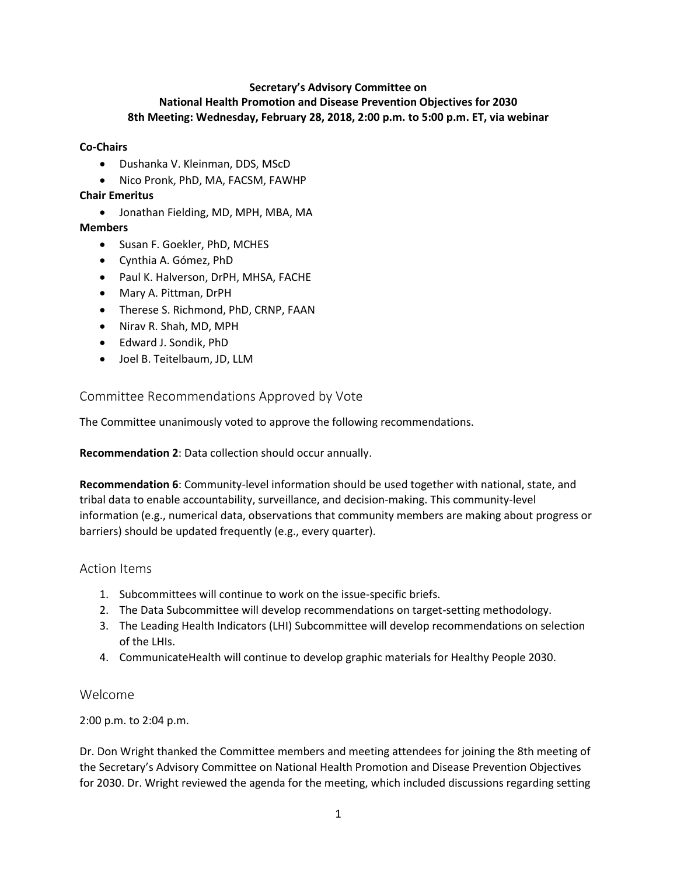#### **Secretary's Advisory Committee on National Health Promotion and Disease Prevention Objectives for 2030 8th Meeting: Wednesday, February 28, 2018, 2:00 p.m. to 5:00 p.m. ET, via webinar**

#### **Co-Chairs**

- Dushanka V. Kleinman, DDS, MScD
- Nico Pronk, PhD, MA, FACSM, FAWHP

#### **Chair Emeritus**

• Jonathan Fielding, MD, MPH, MBA, MA

## **Members**

- Susan F. Goekler, PhD, MCHES
- Cynthia A. Gómez, PhD
- Paul K. Halverson, DrPH, MHSA, FACHE
- Mary A. Pittman, DrPH
- Therese S. Richmond, PhD, CRNP, FAAN
- Nirav R. Shah, MD, MPH
- Edward J. Sondik, PhD
- Joel B. Teitelbaum, JD, LLM

## Committee Recommendations Approved by Vote

The Committee unanimously voted to approve the following recommendations.

**Recommendation 2**: Data collection should occur annually.

**Recommendation 6**: Community-level information should be used together with national, state, and tribal data to enable accountability, surveillance, and decision-making. This community-level information (e.g., numerical data, observations that community members are making about progress or barriers) should be updated frequently (e.g., every quarter).

## Action Items

- 1. Subcommittees will continue to work on the issue-specific briefs.
- 2. The Data Subcommittee will develop recommendations on target-setting methodology.
- 3. The Leading Health Indicators (LHI) Subcommittee will develop recommendations on selection of the LHIs.
- 4. CommunicateHealth will continue to develop graphic materials for Healthy People 2030.

#### Welcome

2:00 p.m. to 2:04 p.m.

Dr. Don Wright thanked the Committee members and meeting attendees for joining the 8th meeting of the Secretary's Advisory Committee on National Health Promotion and Disease Prevention Objectives for 2030. Dr. Wright reviewed the agenda for the meeting, which included discussions regarding setting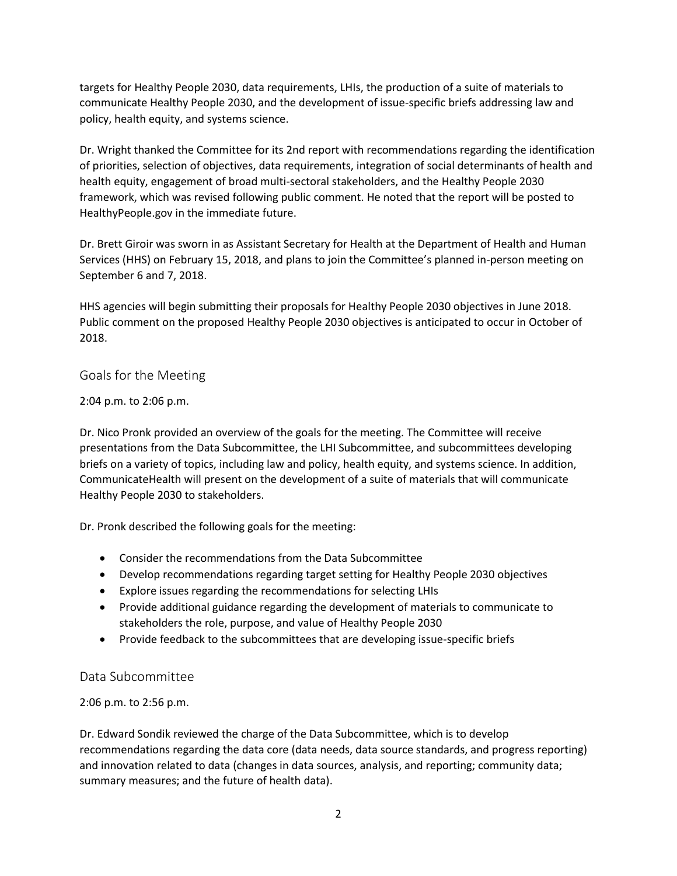targets for Healthy People 2030, data requirements, LHIs, the production of a suite of materials to communicate Healthy People 2030, and the development of issue-specific briefs addressing law and policy, health equity, and systems science.

Dr. Wright thanked the Committee for its 2nd report with recommendations regarding the identification of priorities, selection of objectives, data requirements, integration of social determinants of health and health equity, engagement of broad multi-sectoral stakeholders, and the Healthy People 2030 framework, which was revised following public comment. He noted that the report will be posted to HealthyPeople.gov in the immediate future.

Dr. Brett Giroir was sworn in as Assistant Secretary for Health at the Department of Health and Human Services (HHS) on February 15, 2018, and plans to join the Committee's planned in-person meeting on September 6 and 7, 2018.

HHS agencies will begin submitting their proposals for Healthy People 2030 objectives in June 2018. Public comment on the proposed Healthy People 2030 objectives is anticipated to occur in October of 2018.

## Goals for the Meeting

## 2:04 p.m. to 2:06 p.m.

Dr. Nico Pronk provided an overview of the goals for the meeting. The Committee will receive presentations from the Data Subcommittee, the LHI Subcommittee, and subcommittees developing briefs on a variety of topics, including law and policy, health equity, and systems science. In addition, CommunicateHealth will present on the development of a suite of materials that will communicate Healthy People 2030 to stakeholders.

Dr. Pronk described the following goals for the meeting:

- Consider the recommendations from the Data Subcommittee
- Develop recommendations regarding target setting for Healthy People 2030 objectives
- Explore issues regarding the recommendations for selecting LHIs
- Provide additional guidance regarding the development of materials to communicate to stakeholders the role, purpose, and value of Healthy People 2030
- Provide feedback to the subcommittees that are developing issue-specific briefs

## Data Subcommittee

## 2:06 p.m. to 2:56 p.m.

Dr. Edward Sondik reviewed the charge of the Data Subcommittee, which is to develop recommendations regarding the data core (data needs, data source standards, and progress reporting) and innovation related to data (changes in data sources, analysis, and reporting; community data; summary measures; and the future of health data).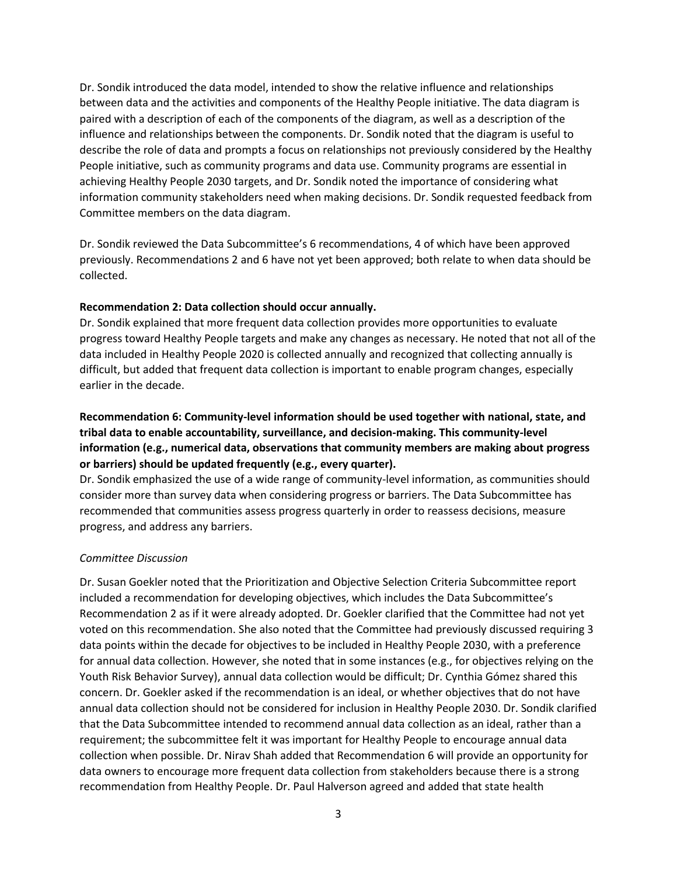Dr. Sondik introduced the data model, intended to show the relative influence and relationships between data and the activities and components of the Healthy People initiative. The data diagram is paired with a description of each of the components of the diagram, as well as a description of the influence and relationships between the components. Dr. Sondik noted that the diagram is useful to describe the role of data and prompts a focus on relationships not previously considered by the Healthy People initiative, such as community programs and data use. Community programs are essential in achieving Healthy People 2030 targets, and Dr. Sondik noted the importance of considering what information community stakeholders need when making decisions. Dr. Sondik requested feedback from Committee members on the data diagram.

Dr. Sondik reviewed the Data Subcommittee's 6 recommendations, 4 of which have been approved previously. Recommendations 2 and 6 have not yet been approved; both relate to when data should be collected.

#### **Recommendation 2: Data collection should occur annually.**

Dr. Sondik explained that more frequent data collection provides more opportunities to evaluate progress toward Healthy People targets and make any changes as necessary. He noted that not all of the data included in Healthy People 2020 is collected annually and recognized that collecting annually is difficult, but added that frequent data collection is important to enable program changes, especially earlier in the decade.

## **Recommendation 6: Community-level information should be used together with national, state, and tribal data to enable accountability, surveillance, and decision-making. This community-level information (e.g., numerical data, observations that community members are making about progress or barriers) should be updated frequently (e.g., every quarter).**

Dr. Sondik emphasized the use of a wide range of community-level information, as communities should consider more than survey data when considering progress or barriers. The Data Subcommittee has recommended that communities assess progress quarterly in order to reassess decisions, measure progress, and address any barriers.

#### *Committee Discussion*

Dr. Susan Goekler noted that the Prioritization and Objective Selection Criteria Subcommittee report included a recommendation for developing objectives, which includes the Data Subcommittee's Recommendation 2 as if it were already adopted. Dr. Goekler clarified that the Committee had not yet voted on this recommendation. She also noted that the Committee had previously discussed requiring 3 data points within the decade for objectives to be included in Healthy People 2030, with a preference for annual data collection. However, she noted that in some instances (e.g., for objectives relying on the Youth Risk Behavior Survey), annual data collection would be difficult; Dr. Cynthia Gómez shared this concern. Dr. Goekler asked if the recommendation is an ideal, or whether objectives that do not have annual data collection should not be considered for inclusion in Healthy People 2030. Dr. Sondik clarified that the Data Subcommittee intended to recommend annual data collection as an ideal, rather than a requirement; the subcommittee felt it was important for Healthy People to encourage annual data collection when possible. Dr. Nirav Shah added that Recommendation 6 will provide an opportunity for data owners to encourage more frequent data collection from stakeholders because there is a strong recommendation from Healthy People. Dr. Paul Halverson agreed and added that state health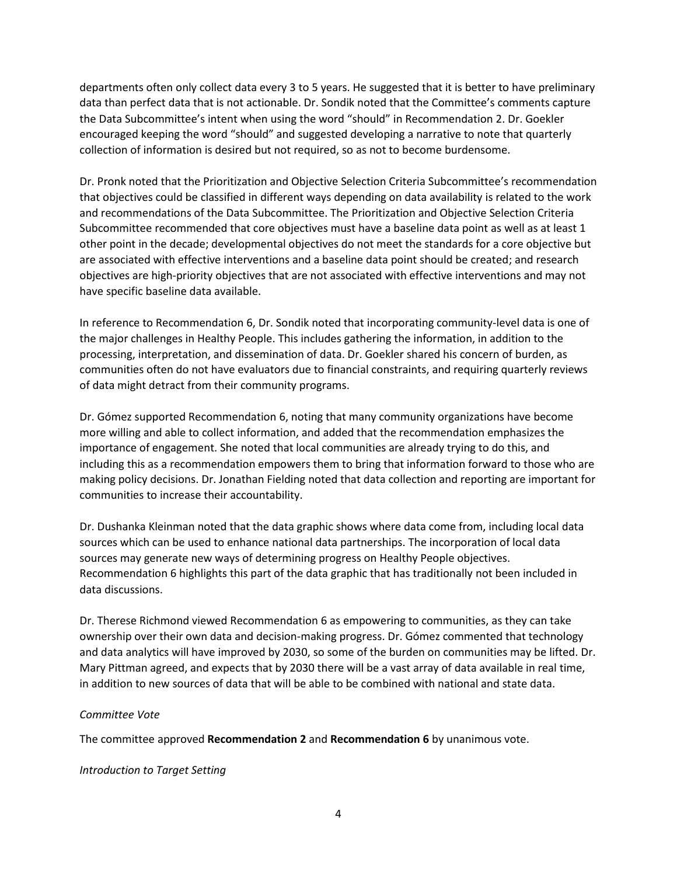departments often only collect data every 3 to 5 years. He suggested that it is better to have preliminary data than perfect data that is not actionable. Dr. Sondik noted that the Committee's comments capture the Data Subcommittee's intent when using the word "should" in Recommendation 2. Dr. Goekler encouraged keeping the word "should" and suggested developing a narrative to note that quarterly collection of information is desired but not required, so as not to become burdensome.

Dr. Pronk noted that the Prioritization and Objective Selection Criteria Subcommittee's recommendation that objectives could be classified in different ways depending on data availability is related to the work and recommendations of the Data Subcommittee. The Prioritization and Objective Selection Criteria Subcommittee recommended that core objectives must have a baseline data point as well as at least 1 other point in the decade; developmental objectives do not meet the standards for a core objective but are associated with effective interventions and a baseline data point should be created; and research objectives are high-priority objectives that are not associated with effective interventions and may not have specific baseline data available.

In reference to Recommendation 6, Dr. Sondik noted that incorporating community-level data is one of the major challenges in Healthy People. This includes gathering the information, in addition to the processing, interpretation, and dissemination of data. Dr. Goekler shared his concern of burden, as communities often do not have evaluators due to financial constraints, and requiring quarterly reviews of data might detract from their community programs.

Dr. Gómez supported Recommendation 6, noting that many community organizations have become more willing and able to collect information, and added that the recommendation emphasizes the importance of engagement. She noted that local communities are already trying to do this, and including this as a recommendation empowers them to bring that information forward to those who are making policy decisions. Dr. Jonathan Fielding noted that data collection and reporting are important for communities to increase their accountability.

Dr. Dushanka Kleinman noted that the data graphic shows where data come from, including local data sources which can be used to enhance national data partnerships. The incorporation of local data sources may generate new ways of determining progress on Healthy People objectives. Recommendation 6 highlights this part of the data graphic that has traditionally not been included in data discussions.

Dr. Therese Richmond viewed Recommendation 6 as empowering to communities, as they can take ownership over their own data and decision-making progress. Dr. Gómez commented that technology and data analytics will have improved by 2030, so some of the burden on communities may be lifted. Dr. Mary Pittman agreed, and expects that by 2030 there will be a vast array of data available in real time, in addition to new sources of data that will be able to be combined with national and state data.

#### *Committee Vote*

The committee approved **Recommendation 2** and **Recommendation 6** by unanimous vote.

*Introduction to Target Setting*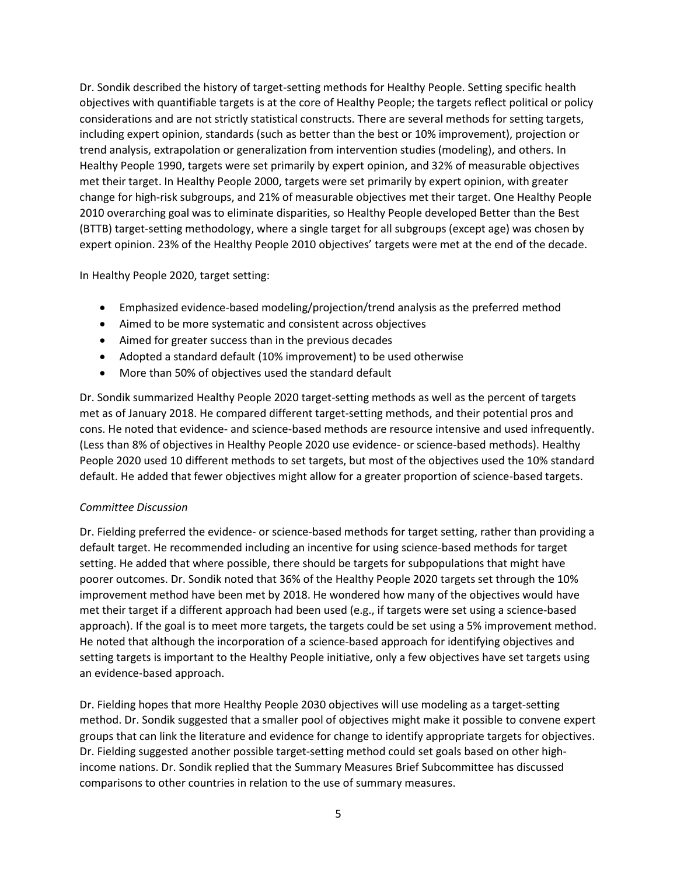Dr. Sondik described the history of target-setting methods for Healthy People. Setting specific health objectives with quantifiable targets is at the core of Healthy People; the targets reflect political or policy considerations and are not strictly statistical constructs. There are several methods for setting targets, including expert opinion, standards (such as better than the best or 10% improvement), projection or trend analysis, extrapolation or generalization from intervention studies (modeling), and others. In Healthy People 1990, targets were set primarily by expert opinion, and 32% of measurable objectives met their target. In Healthy People 2000, targets were set primarily by expert opinion, with greater change for high-risk subgroups, and 21% of measurable objectives met their target. One Healthy People 2010 overarching goal was to eliminate disparities, so Healthy People developed Better than the Best (BTTB) target-setting methodology, where a single target for all subgroups (except age) was chosen by expert opinion. 23% of the Healthy People 2010 objectives' targets were met at the end of the decade.

In Healthy People 2020, target setting:

- Emphasized evidence-based modeling/projection/trend analysis as the preferred method
- Aimed to be more systematic and consistent across objectives
- Aimed for greater success than in the previous decades
- Adopted a standard default (10% improvement) to be used otherwise
- More than 50% of objectives used the standard default

Dr. Sondik summarized Healthy People 2020 target-setting methods as well as the percent of targets met as of January 2018. He compared different target-setting methods, and their potential pros and cons. He noted that evidence- and science-based methods are resource intensive and used infrequently. (Less than 8% of objectives in Healthy People 2020 use evidence- or science-based methods). Healthy People 2020 used 10 different methods to set targets, but most of the objectives used the 10% standard default. He added that fewer objectives might allow for a greater proportion of science-based targets.

## *Committee Discussion*

Dr. Fielding preferred the evidence- or science-based methods for target setting, rather than providing a default target. He recommended including an incentive for using science-based methods for target setting. He added that where possible, there should be targets for subpopulations that might have poorer outcomes. Dr. Sondik noted that 36% of the Healthy People 2020 targets set through the 10% improvement method have been met by 2018. He wondered how many of the objectives would have met their target if a different approach had been used (e.g., if targets were set using a science-based approach). If the goal is to meet more targets, the targets could be set using a 5% improvement method. He noted that although the incorporation of a science-based approach for identifying objectives and setting targets is important to the Healthy People initiative, only a few objectives have set targets using an evidence-based approach.

Dr. Fielding hopes that more Healthy People 2030 objectives will use modeling as a target-setting method. Dr. Sondik suggested that a smaller pool of objectives might make it possible to convene expert groups that can link the literature and evidence for change to identify appropriate targets for objectives. Dr. Fielding suggested another possible target-setting method could set goals based on other highincome nations. Dr. Sondik replied that the Summary Measures Brief Subcommittee has discussed comparisons to other countries in relation to the use of summary measures.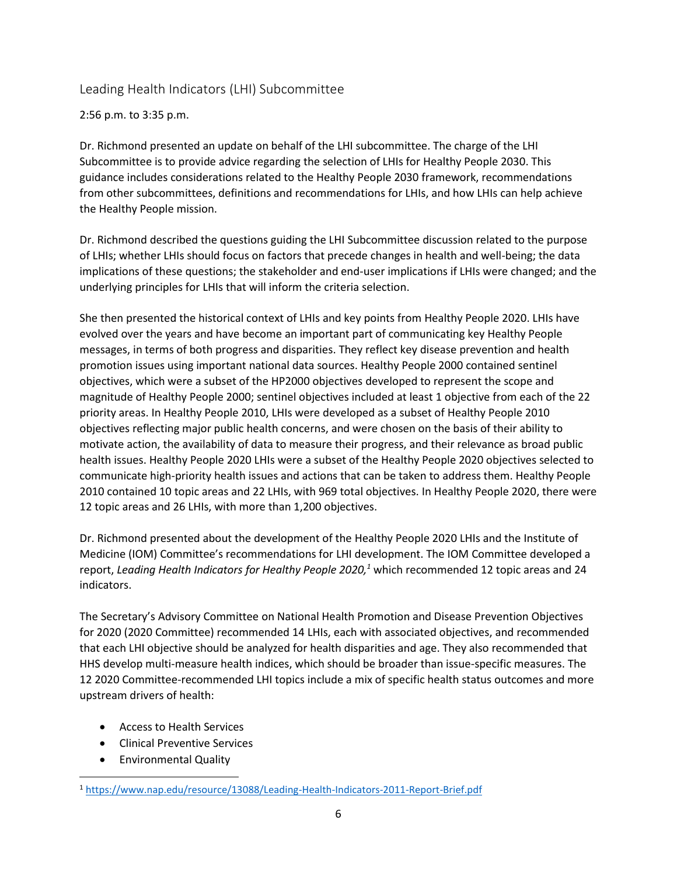## Leading Health Indicators (LHI) Subcommittee

2:56 p.m. to 3:35 p.m.

Dr. Richmond presented an update on behalf of the LHI subcommittee. The charge of the LHI Subcommittee is to provide advice regarding the selection of LHIs for Healthy People 2030. This guidance includes considerations related to the Healthy People 2030 framework, recommendations from other subcommittees, definitions and recommendations for LHIs, and how LHIs can help achieve the Healthy People mission.

Dr. Richmond described the questions guiding the LHI Subcommittee discussion related to the purpose of LHIs; whether LHIs should focus on factors that precede changes in health and well-being; the data implications of these questions; the stakeholder and end-user implications if LHIs were changed; and the underlying principles for LHIs that will inform the criteria selection.

She then presented the historical context of LHIs and key points from Healthy People 2020. LHIs have evolved over the years and have become an important part of communicating key Healthy People messages, in terms of both progress and disparities. They reflect key disease prevention and health promotion issues using important national data sources. Healthy People 2000 contained sentinel objectives, which were a subset of the HP2000 objectives developed to represent the scope and magnitude of Healthy People 2000; sentinel objectives included at least 1 objective from each of the 22 priority areas. In Healthy People 2010, LHIs were developed as a subset of Healthy People 2010 objectives reflecting major public health concerns, and were chosen on the basis of their ability to motivate action, the availability of data to measure their progress, and their relevance as broad public health issues. Healthy People 2020 LHIs were a subset of the Healthy People 2020 objectives selected to communicate high-priority health issues and actions that can be taken to address them. Healthy People 2010 contained 10 topic areas and 22 LHIs, with 969 total objectives. In Healthy People 2020, there were 12 topic areas and 26 LHIs, with more than 1,200 objectives.

Dr. Richmond presented about the development of the Healthy People 2020 LHIs and the Institute of Medicine (IOM) Committee's recommendations for LHI development. The IOM Committee developed a report, *Leading Health Indicators for Healthy People 2020,<sup>1</sup>* which recommended 12 topic areas and 24 indicators.

The Secretary's Advisory Committee on National Health Promotion and Disease Prevention Objectives for 2020 (2020 Committee) recommended 14 LHIs, each with associated objectives, and recommended that each LHI objective should be analyzed for health disparities and age. They also recommended that HHS develop multi-measure health indices, which should be broader than issue-specific measures. The 12 2020 Committee-recommended LHI topics include a mix of specific health status outcomes and more upstream drivers of health:

- Access to Health Services
- Clinical Preventive Services
- Environmental Quality

 $\overline{\phantom{a}}$ 

<sup>1</sup> <https://www.nap.edu/resource/13088/Leading-Health-Indicators-2011-Report-Brief.pdf>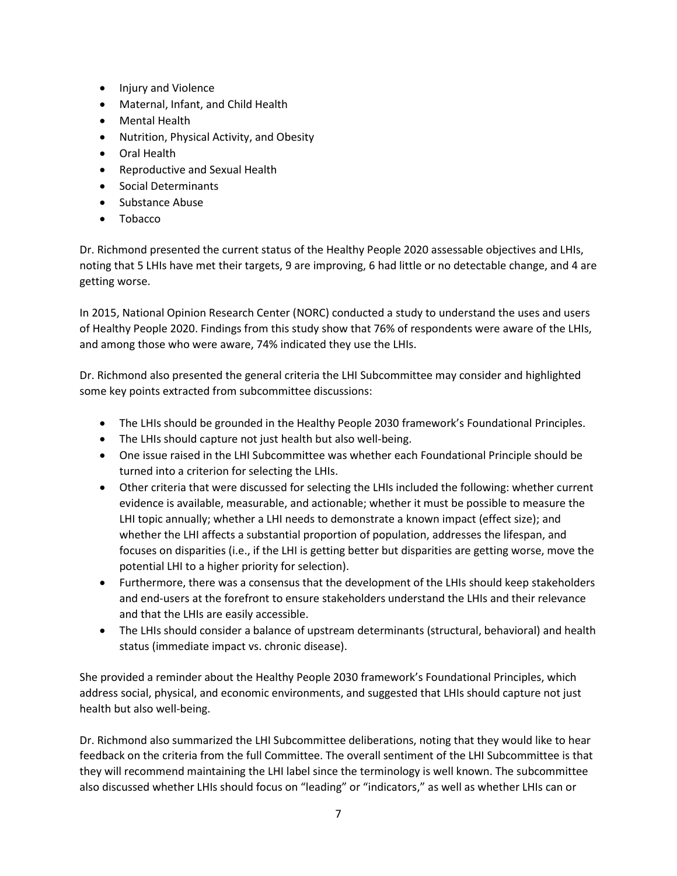- Injury and Violence
- Maternal, Infant, and Child Health
- Mental Health
- Nutrition, Physical Activity, and Obesity
- Oral Health
- Reproductive and Sexual Health
- Social Determinants
- Substance Abuse
- Tobacco

Dr. Richmond presented the current status of the Healthy People 2020 assessable objectives and LHIs, noting that 5 LHIs have met their targets, 9 are improving, 6 had little or no detectable change, and 4 are getting worse.

In 2015, National Opinion Research Center (NORC) conducted a study to understand the uses and users of Healthy People 2020. Findings from this study show that 76% of respondents were aware of the LHIs, and among those who were aware, 74% indicated they use the LHIs.

Dr. Richmond also presented the general criteria the LHI Subcommittee may consider and highlighted some key points extracted from subcommittee discussions:

- The LHIs should be grounded in the Healthy People 2030 framework's Foundational Principles.
- The LHIs should capture not just health but also well-being.
- One issue raised in the LHI Subcommittee was whether each Foundational Principle should be turned into a criterion for selecting the LHIs.
- Other criteria that were discussed for selecting the LHIs included the following: whether current evidence is available, measurable, and actionable; whether it must be possible to measure the LHI topic annually; whether a LHI needs to demonstrate a known impact (effect size); and whether the LHI affects a substantial proportion of population, addresses the lifespan, and focuses on disparities (i.e., if the LHI is getting better but disparities are getting worse, move the potential LHI to a higher priority for selection).
- Furthermore, there was a consensus that the development of the LHIs should keep stakeholders and end-users at the forefront to ensure stakeholders understand the LHIs and their relevance and that the LHIs are easily accessible.
- The LHIs should consider a balance of upstream determinants (structural, behavioral) and health status (immediate impact vs. chronic disease).

She provided a reminder about the Healthy People 2030 framework's Foundational Principles, which address social, physical, and economic environments, and suggested that LHIs should capture not just health but also well-being.

Dr. Richmond also summarized the LHI Subcommittee deliberations, noting that they would like to hear feedback on the criteria from the full Committee. The overall sentiment of the LHI Subcommittee is that they will recommend maintaining the LHI label since the terminology is well known. The subcommittee also discussed whether LHIs should focus on "leading" or "indicators," as well as whether LHIs can or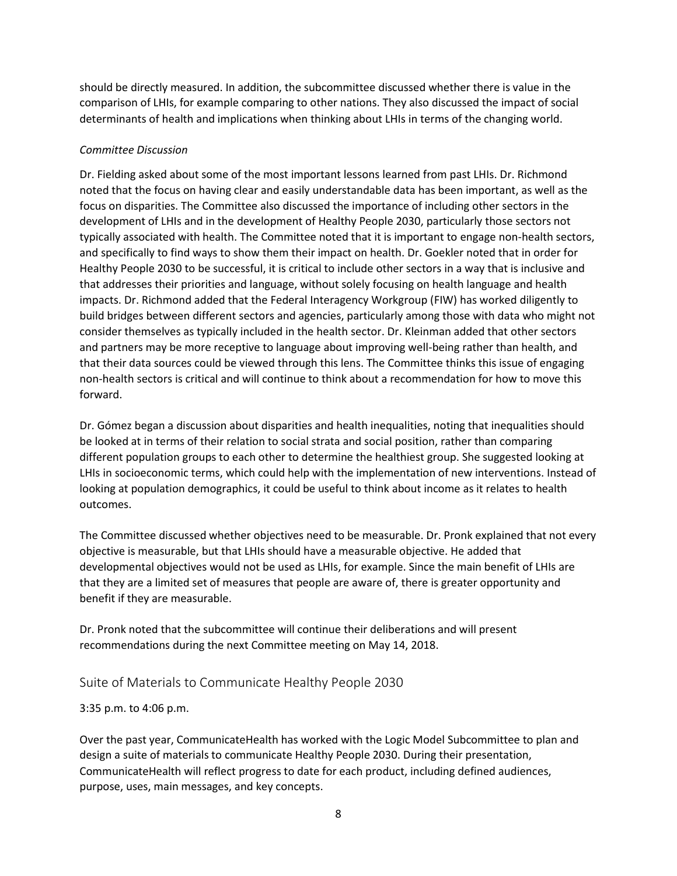should be directly measured. In addition, the subcommittee discussed whether there is value in the comparison of LHIs, for example comparing to other nations. They also discussed the impact of social determinants of health and implications when thinking about LHIs in terms of the changing world.

## *Committee Discussion*

Dr. Fielding asked about some of the most important lessons learned from past LHIs. Dr. Richmond noted that the focus on having clear and easily understandable data has been important, as well as the focus on disparities. The Committee also discussed the importance of including other sectors in the development of LHIs and in the development of Healthy People 2030, particularly those sectors not typically associated with health. The Committee noted that it is important to engage non-health sectors, and specifically to find ways to show them their impact on health. Dr. Goekler noted that in order for Healthy People 2030 to be successful, it is critical to include other sectors in a way that is inclusive and that addresses their priorities and language, without solely focusing on health language and health impacts. Dr. Richmond added that the Federal Interagency Workgroup (FIW) has worked diligently to build bridges between different sectors and agencies, particularly among those with data who might not consider themselves as typically included in the health sector. Dr. Kleinman added that other sectors and partners may be more receptive to language about improving well-being rather than health, and that their data sources could be viewed through this lens. The Committee thinks this issue of engaging non-health sectors is critical and will continue to think about a recommendation for how to move this forward.

Dr. Gómez began a discussion about disparities and health inequalities, noting that inequalities should be looked at in terms of their relation to social strata and social position, rather than comparing different population groups to each other to determine the healthiest group. She suggested looking at LHIs in socioeconomic terms, which could help with the implementation of new interventions. Instead of looking at population demographics, it could be useful to think about income as it relates to health outcomes.

The Committee discussed whether objectives need to be measurable. Dr. Pronk explained that not every objective is measurable, but that LHIs should have a measurable objective. He added that developmental objectives would not be used as LHIs, for example. Since the main benefit of LHIs are that they are a limited set of measures that people are aware of, there is greater opportunity and benefit if they are measurable.

Dr. Pronk noted that the subcommittee will continue their deliberations and will present recommendations during the next Committee meeting on May 14, 2018.

# Suite of Materials to Communicate Healthy People 2030

3:35 p.m. to 4:06 p.m.

Over the past year, CommunicateHealth has worked with the Logic Model Subcommittee to plan and design a suite of materials to communicate Healthy People 2030. During their presentation, CommunicateHealth will reflect progress to date for each product, including defined audiences, purpose, uses, main messages, and key concepts.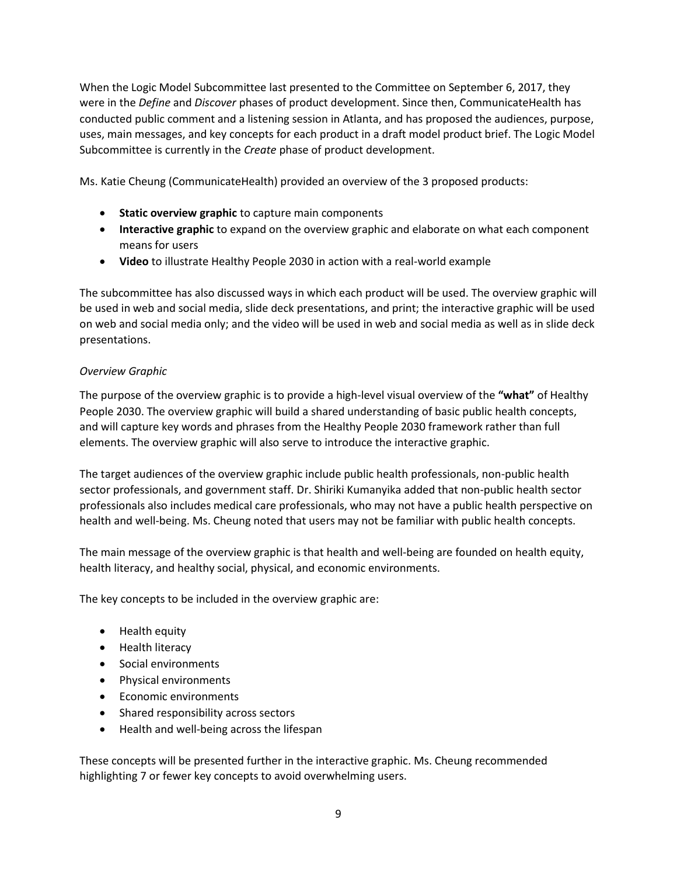When the Logic Model Subcommittee last presented to the Committee on September 6, 2017, they were in the *Define* and *Discover* phases of product development. Since then, CommunicateHealth has conducted public comment and a listening session in Atlanta, and has proposed the audiences, purpose, uses, main messages, and key concepts for each product in a draft model product brief. The Logic Model Subcommittee is currently in the *Create* phase of product development.

Ms. Katie Cheung (CommunicateHealth) provided an overview of the 3 proposed products:

- **Static overview graphic** to capture main components
- **Interactive graphic** to expand on the overview graphic and elaborate on what each component means for users
- **Video** to illustrate Healthy People 2030 in action with a real-world example

The subcommittee has also discussed ways in which each product will be used. The overview graphic will be used in web and social media, slide deck presentations, and print; the interactive graphic will be used on web and social media only; and the video will be used in web and social media as well as in slide deck presentations.

#### *Overview Graphic*

The purpose of the overview graphic is to provide a high-level visual overview of the **"what"** of Healthy People 2030. The overview graphic will build a shared understanding of basic public health concepts, and will capture key words and phrases from the Healthy People 2030 framework rather than full elements. The overview graphic will also serve to introduce the interactive graphic.

The target audiences of the overview graphic include public health professionals, non-public health sector professionals, and government staff. Dr. Shiriki Kumanyika added that non-public health sector professionals also includes medical care professionals, who may not have a public health perspective on health and well-being. Ms. Cheung noted that users may not be familiar with public health concepts.

The main message of the overview graphic is that health and well-being are founded on health equity, health literacy, and healthy social, physical, and economic environments.

The key concepts to be included in the overview graphic are:

- Health equity
- Health literacy
- Social environments
- Physical environments
- Economic environments
- Shared responsibility across sectors
- Health and well-being across the lifespan

These concepts will be presented further in the interactive graphic. Ms. Cheung recommended highlighting 7 or fewer key concepts to avoid overwhelming users.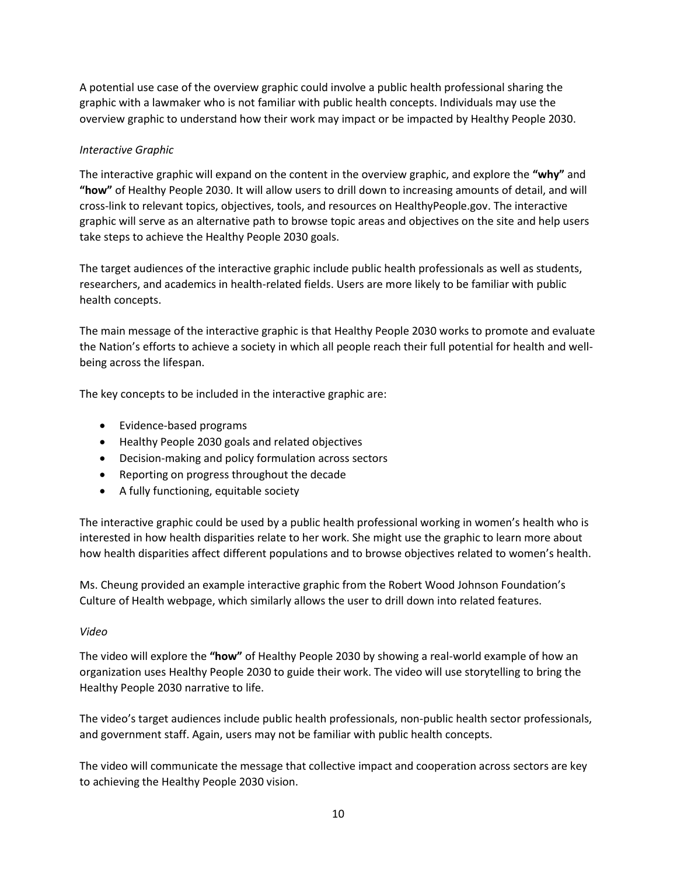A potential use case of the overview graphic could involve a public health professional sharing the graphic with a lawmaker who is not familiar with public health concepts. Individuals may use the overview graphic to understand how their work may impact or be impacted by Healthy People 2030.

## *Interactive Graphic*

The interactive graphic will expand on the content in the overview graphic, and explore the **"why"** and **"how"** of Healthy People 2030. It will allow users to drill down to increasing amounts of detail, and will cross-link to relevant topics, objectives, tools, and resources on HealthyPeople.gov. The interactive graphic will serve as an alternative path to browse topic areas and objectives on the site and help users take steps to achieve the Healthy People 2030 goals.

The target audiences of the interactive graphic include public health professionals as well as students, researchers, and academics in health-related fields. Users are more likely to be familiar with public health concepts.

The main message of the interactive graphic is that Healthy People 2030 works to promote and evaluate the Nation's efforts to achieve a society in which all people reach their full potential for health and wellbeing across the lifespan.

The key concepts to be included in the interactive graphic are:

- Evidence-based programs
- Healthy People 2030 goals and related objectives
- Decision-making and policy formulation across sectors
- Reporting on progress throughout the decade
- A fully functioning, equitable society

The interactive graphic could be used by a public health professional working in women's health who is interested in how health disparities relate to her work. She might use the graphic to learn more about how health disparities affect different populations and to browse objectives related to women's health.

Ms. Cheung provided an example interactive graphic from the Robert Wood Johnson Foundation's Culture of Health webpage, which similarly allows the user to drill down into related features.

#### *Video*

The video will explore the **"how"** of Healthy People 2030 by showing a real-world example of how an organization uses Healthy People 2030 to guide their work. The video will use storytelling to bring the Healthy People 2030 narrative to life.

The video's target audiences include public health professionals, non-public health sector professionals, and government staff. Again, users may not be familiar with public health concepts.

The video will communicate the message that collective impact and cooperation across sectors are key to achieving the Healthy People 2030 vision.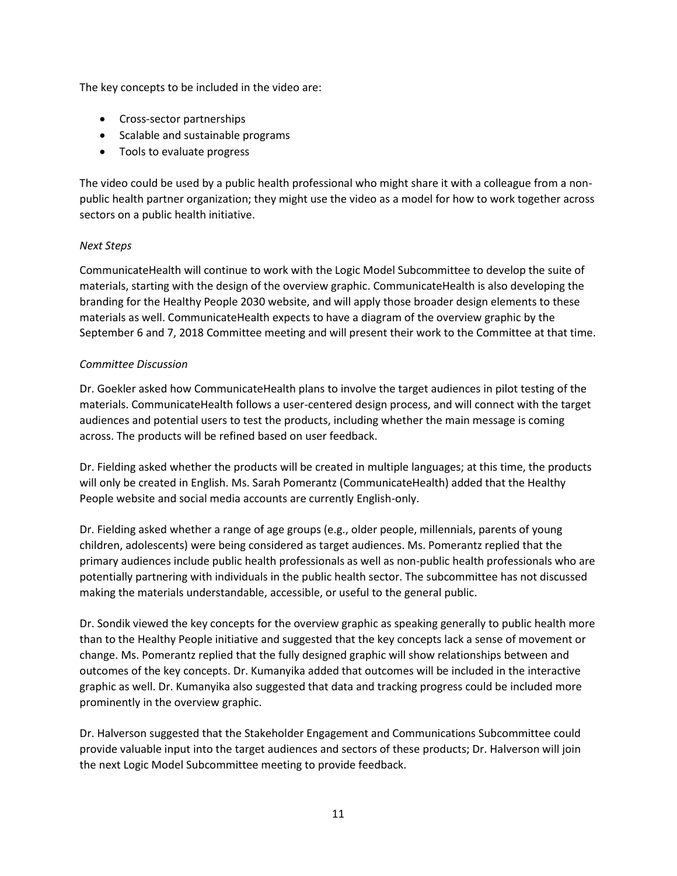The key concepts to be included in the video are:

- Cross-sector partnerships
- Scalable and sustainable programs
- Tools to evaluate progress

The video could be used by a public health professional who might share it with a colleague from a nonpublic health partner organization; they might use the video as a model for how to work together across sectors on a public health initiative.

## *Next Steps*

CommunicateHealth will continue to work with the Logic Model Subcommittee to develop the suite of materials, starting with the design of the overview graphic. CommunicateHealth is also developing the branding for the Healthy People 2030 website, and will apply those broader design elements to these materials as well. CommunicateHealth expects to have a diagram of the overview graphic by the September 6 and 7, 2018 Committee meeting and will present their work to the Committee at that time.

#### *Committee Discussion*

Dr. Goekler asked how CommunicateHealth plans to involve the target audiences in pilot testing of the materials. CommunicateHealth follows a user-centered design process, and will connect with the target audiences and potential users to test the products, including whether the main message is coming across. The products will be refined based on user feedback.

Dr. Fielding asked whether the products will be created in multiple languages; at this time, the products will only be created in English. Ms. Sarah Pomerantz (CommunicateHealth) added that the Healthy People website and social media accounts are currently English-only.

Dr. Fielding asked whether a range of age groups (e.g., older people, millennials, parents of young children, adolescents) were being considered as target audiences. Ms. Pomerantz replied that the primary audiences include public health professionals as well as non-public health professionals who are potentially partnering with individuals in the public health sector. The subcommittee has not discussed making the materials understandable, accessible, or useful to the general public.

Dr. Sondik viewed the key concepts for the overview graphic as speaking generally to public health more than to the Healthy People initiative and suggested that the key concepts lack a sense of movement or change. Ms. Pomerantz replied that the fully designed graphic will show relationships between and outcomes of the key concepts. Dr. Kumanyika added that outcomes will be included in the interactive graphic as well. Dr. Kumanyika also suggested that data and tracking progress could be included more prominently in the overview graphic.

Dr. Halverson suggested that the Stakeholder Engagement and Communications Subcommittee could provide valuable input into the target audiences and sectors of these products; Dr. Halverson will join the next Logic Model Subcommittee meeting to provide feedback.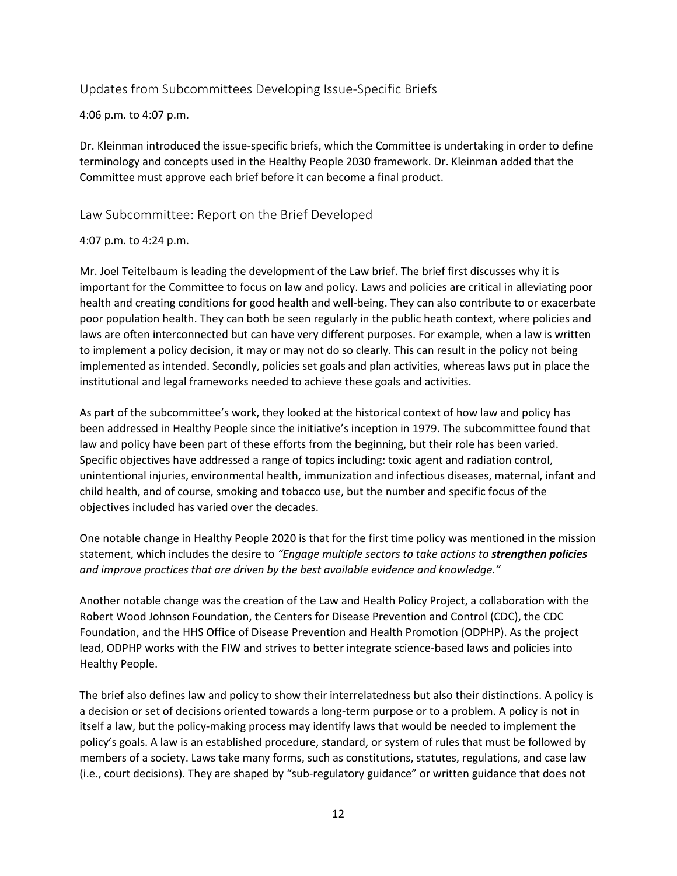Updates from Subcommittees Developing Issue-Specific Briefs

4:06 p.m. to 4:07 p.m.

Dr. Kleinman introduced the issue-specific briefs, which the Committee is undertaking in order to define terminology and concepts used in the Healthy People 2030 framework. Dr. Kleinman added that the Committee must approve each brief before it can become a final product.

Law Subcommittee: Report on the Brief Developed

#### 4:07 p.m. to 4:24 p.m.

Mr. Joel Teitelbaum is leading the development of the Law brief. The brief first discusses why it is important for the Committee to focus on law and policy. Laws and policies are critical in alleviating poor health and creating conditions for good health and well-being. They can also contribute to or exacerbate poor population health. They can both be seen regularly in the public heath context, where policies and laws are often interconnected but can have very different purposes. For example, when a law is written to implement a policy decision, it may or may not do so clearly. This can result in the policy not being implemented as intended. Secondly, policies set goals and plan activities, whereas laws put in place the institutional and legal frameworks needed to achieve these goals and activities.

As part of the subcommittee's work, they looked at the historical context of how law and policy has been addressed in Healthy People since the initiative's inception in 1979. The subcommittee found that law and policy have been part of these efforts from the beginning, but their role has been varied. Specific objectives have addressed a range of topics including: toxic agent and radiation control, unintentional injuries, environmental health, immunization and infectious diseases, maternal, infant and child health, and of course, smoking and tobacco use, but the number and specific focus of the objectives included has varied over the decades.

One notable change in Healthy People 2020 is that for the first time policy was mentioned in the mission statement, which includes the desire to *"Engage multiple sectors to take actions to strengthen policies and improve practices that are driven by the best available evidence and knowledge."*

Another notable change was the creation of the Law and Health Policy Project, a collaboration with the Robert Wood Johnson Foundation, the Centers for Disease Prevention and Control (CDC), the CDC Foundation, and the HHS Office of Disease Prevention and Health Promotion (ODPHP). As the project lead, ODPHP works with the FIW and strives to better integrate science-based laws and policies into Healthy People.

The brief also defines law and policy to show their interrelatedness but also their distinctions. A policy is a decision or set of decisions oriented towards a long-term purpose or to a problem. A policy is not in itself a law, but the policy-making process may identify laws that would be needed to implement the policy's goals. A law is an established procedure, standard, or system of rules that must be followed by members of a society. Laws take many forms, such as constitutions, statutes, regulations, and case law (i.e., court decisions). They are shaped by "sub-regulatory guidance" or written guidance that does not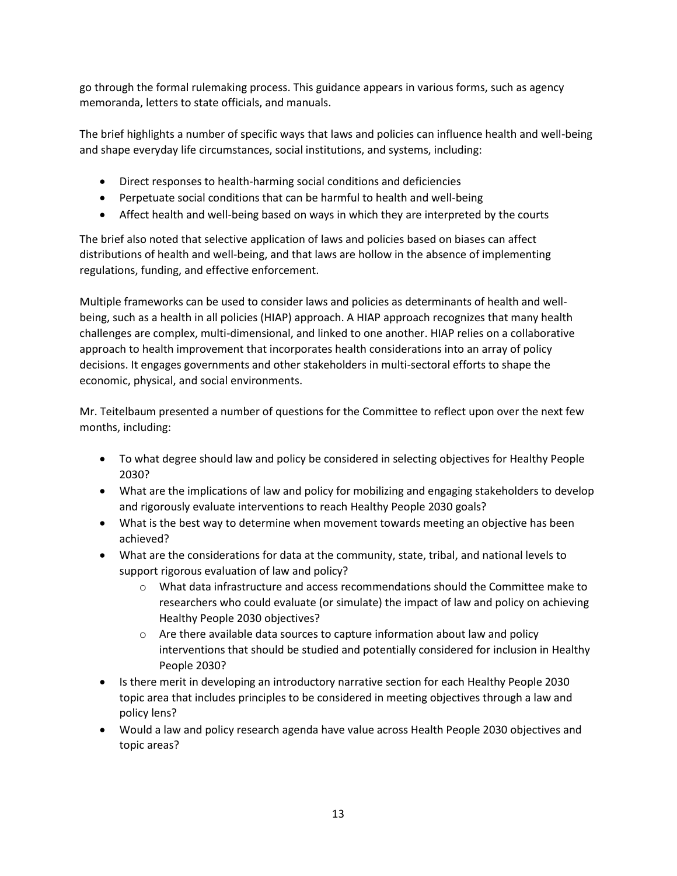go through the formal rulemaking process. This guidance appears in various forms, such as agency memoranda, letters to state officials, and manuals.

The brief highlights a number of specific ways that laws and policies can influence health and well-being and shape everyday life circumstances, social institutions, and systems, including:

- Direct responses to health-harming social conditions and deficiencies
- Perpetuate social conditions that can be harmful to health and well-being
- Affect health and well-being based on ways in which they are interpreted by the courts

The brief also noted that selective application of laws and policies based on biases can affect distributions of health and well-being, and that laws are hollow in the absence of implementing regulations, funding, and effective enforcement.

Multiple frameworks can be used to consider laws and policies as determinants of health and wellbeing, such as a health in all policies (HIAP) approach. A HIAP approach recognizes that many health challenges are complex, multi-dimensional, and linked to one another. HIAP relies on a collaborative approach to health improvement that incorporates health considerations into an array of policy decisions. It engages governments and other stakeholders in multi-sectoral efforts to shape the economic, physical, and social environments.

Mr. Teitelbaum presented a number of questions for the Committee to reflect upon over the next few months, including:

- To what degree should law and policy be considered in selecting objectives for Healthy People 2030?
- What are the implications of law and policy for mobilizing and engaging stakeholders to develop and rigorously evaluate interventions to reach Healthy People 2030 goals?
- What is the best way to determine when movement towards meeting an objective has been achieved?
- What are the considerations for data at the community, state, tribal, and national levels to support rigorous evaluation of law and policy?
	- $\circ$  What data infrastructure and access recommendations should the Committee make to researchers who could evaluate (or simulate) the impact of law and policy on achieving Healthy People 2030 objectives?
	- $\circ$  Are there available data sources to capture information about law and policy interventions that should be studied and potentially considered for inclusion in Healthy People 2030?
- Is there merit in developing an introductory narrative section for each Healthy People 2030 topic area that includes principles to be considered in meeting objectives through a law and policy lens?
- Would a law and policy research agenda have value across Health People 2030 objectives and topic areas?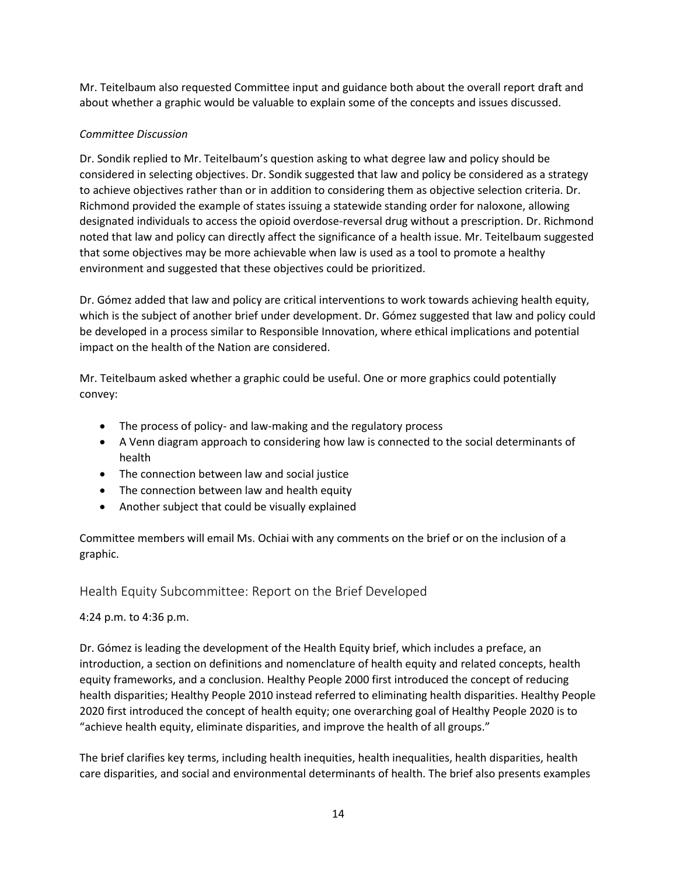Mr. Teitelbaum also requested Committee input and guidance both about the overall report draft and about whether a graphic would be valuable to explain some of the concepts and issues discussed.

## *Committee Discussion*

Dr. Sondik replied to Mr. Teitelbaum's question asking to what degree law and policy should be considered in selecting objectives. Dr. Sondik suggested that law and policy be considered as a strategy to achieve objectives rather than or in addition to considering them as objective selection criteria. Dr. Richmond provided the example of states issuing a statewide standing order for naloxone, allowing designated individuals to access the opioid overdose-reversal drug without a prescription. Dr. Richmond noted that law and policy can directly affect the significance of a health issue. Mr. Teitelbaum suggested that some objectives may be more achievable when law is used as a tool to promote a healthy environment and suggested that these objectives could be prioritized.

Dr. Gómez added that law and policy are critical interventions to work towards achieving health equity, which is the subject of another brief under development. Dr. Gómez suggested that law and policy could be developed in a process similar to Responsible Innovation, where ethical implications and potential impact on the health of the Nation are considered.

Mr. Teitelbaum asked whether a graphic could be useful. One or more graphics could potentially convey:

- The process of policy- and law-making and the regulatory process
- A Venn diagram approach to considering how law is connected to the social determinants of health
- The connection between law and social justice
- The connection between law and health equity
- Another subject that could be visually explained

Committee members will email Ms. Ochiai with any comments on the brief or on the inclusion of a graphic.

# Health Equity Subcommittee: Report on the Brief Developed

## 4:24 p.m. to 4:36 p.m.

Dr. Gómez is leading the development of the Health Equity brief, which includes a preface, an introduction, a section on definitions and nomenclature of health equity and related concepts, health equity frameworks, and a conclusion. Healthy People 2000 first introduced the concept of reducing health disparities; Healthy People 2010 instead referred to eliminating health disparities. Healthy People 2020 first introduced the concept of health equity; one overarching goal of Healthy People 2020 is to "achieve health equity, eliminate disparities, and improve the health of all groups."

The brief clarifies key terms, including health inequities, health inequalities, health disparities, health care disparities, and social and environmental determinants of health. The brief also presents examples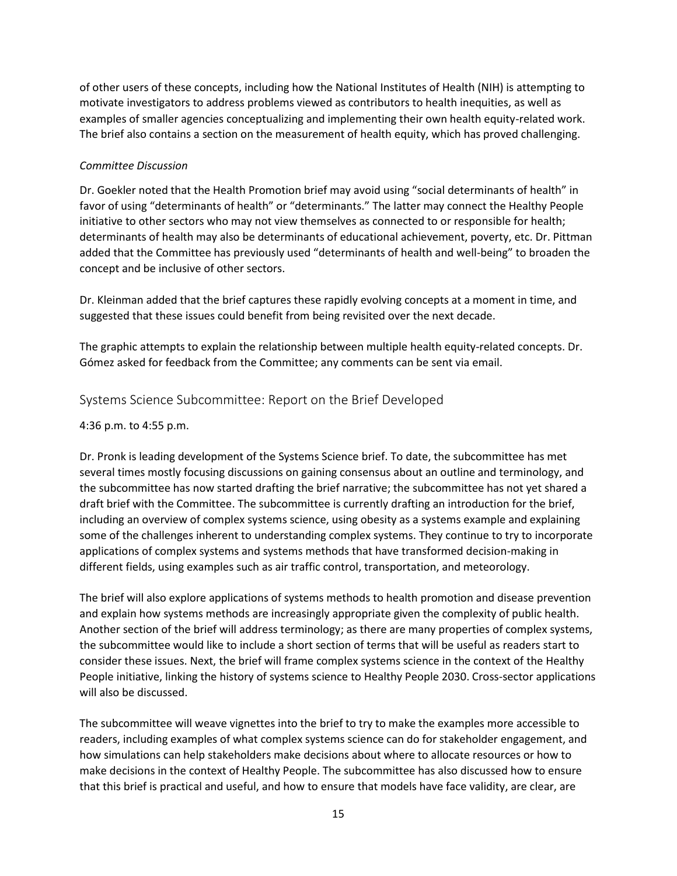of other users of these concepts, including how the National Institutes of Health (NIH) is attempting to motivate investigators to address problems viewed as contributors to health inequities, as well as examples of smaller agencies conceptualizing and implementing their own health equity-related work. The brief also contains a section on the measurement of health equity, which has proved challenging.

#### *Committee Discussion*

Dr. Goekler noted that the Health Promotion brief may avoid using "social determinants of health" in favor of using "determinants of health" or "determinants." The latter may connect the Healthy People initiative to other sectors who may not view themselves as connected to or responsible for health; determinants of health may also be determinants of educational achievement, poverty, etc. Dr. Pittman added that the Committee has previously used "determinants of health and well-being" to broaden the concept and be inclusive of other sectors.

Dr. Kleinman added that the brief captures these rapidly evolving concepts at a moment in time, and suggested that these issues could benefit from being revisited over the next decade.

The graphic attempts to explain the relationship between multiple health equity-related concepts. Dr. Gómez asked for feedback from the Committee; any comments can be sent via email.

## Systems Science Subcommittee: Report on the Brief Developed

4:36 p.m. to 4:55 p.m.

Dr. Pronk is leading development of the Systems Science brief. To date, the subcommittee has met several times mostly focusing discussions on gaining consensus about an outline and terminology, and the subcommittee has now started drafting the brief narrative; the subcommittee has not yet shared a draft brief with the Committee. The subcommittee is currently drafting an introduction for the brief, including an overview of complex systems science, using obesity as a systems example and explaining some of the challenges inherent to understanding complex systems. They continue to try to incorporate applications of complex systems and systems methods that have transformed decision-making in different fields, using examples such as air traffic control, transportation, and meteorology.

The brief will also explore applications of systems methods to health promotion and disease prevention and explain how systems methods are increasingly appropriate given the complexity of public health. Another section of the brief will address terminology; as there are many properties of complex systems, the subcommittee would like to include a short section of terms that will be useful as readers start to consider these issues. Next, the brief will frame complex systems science in the context of the Healthy People initiative, linking the history of systems science to Healthy People 2030. Cross-sector applications will also be discussed.

The subcommittee will weave vignettes into the brief to try to make the examples more accessible to readers, including examples of what complex systems science can do for stakeholder engagement, and how simulations can help stakeholders make decisions about where to allocate resources or how to make decisions in the context of Healthy People. The subcommittee has also discussed how to ensure that this brief is practical and useful, and how to ensure that models have face validity, are clear, are